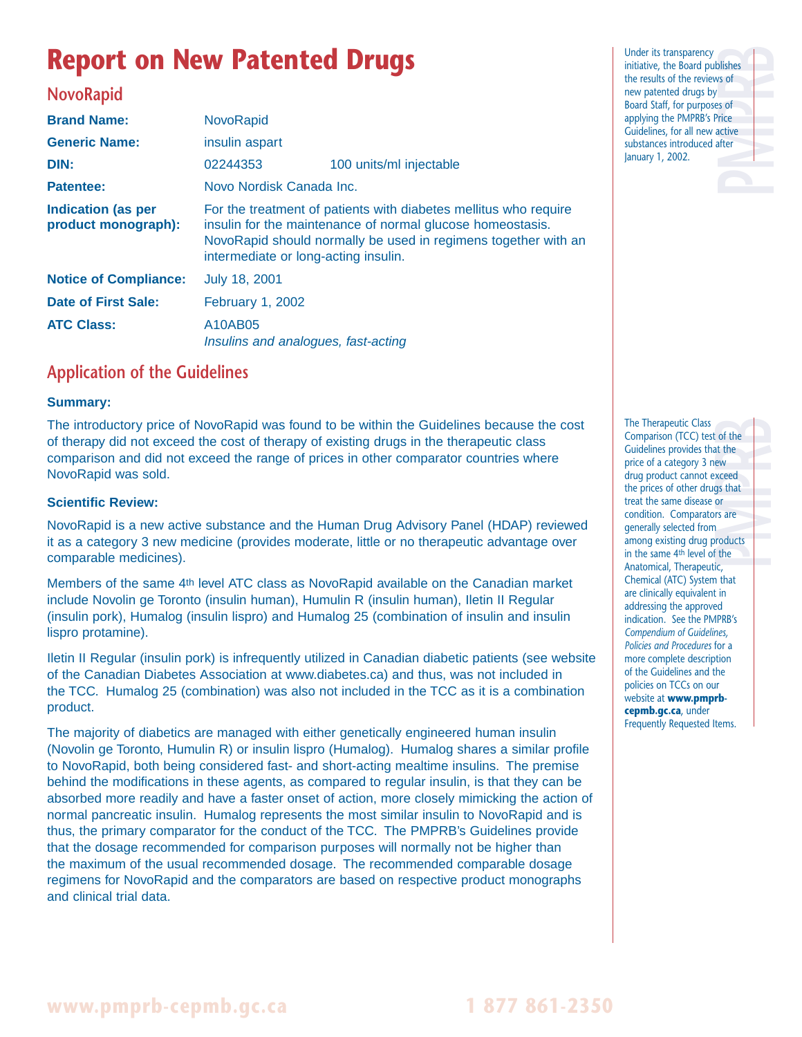# **Report on New Patented Drugs**

## **NovoRapid**

| <b>Brand Name:</b>                               | <b>NovoRapid</b>                               |                                                                                                                                                                                                  |  |
|--------------------------------------------------|------------------------------------------------|--------------------------------------------------------------------------------------------------------------------------------------------------------------------------------------------------|--|
| <b>Generic Name:</b>                             | insulin aspart                                 |                                                                                                                                                                                                  |  |
| DIN:                                             | 02244353                                       | 100 units/ml injectable                                                                                                                                                                          |  |
| Patentee:                                        | Novo Nordisk Canada Inc.                       |                                                                                                                                                                                                  |  |
| <b>Indication (as per</b><br>product monograph): | intermediate or long-acting insulin.           | For the treatment of patients with diabetes mellitus who require<br>insulin for the maintenance of normal glucose homeostasis.<br>NovoRapid should normally be used in regimens together with an |  |
| <b>Notice of Compliance:</b>                     | <b>July 18, 2001</b>                           |                                                                                                                                                                                                  |  |
| Date of First Sale:                              | February 1, 2002                               |                                                                                                                                                                                                  |  |
| <b>ATC Class:</b>                                | A10AB05<br>Insulins and analogues, fast-acting |                                                                                                                                                                                                  |  |

## **Application of the Guidelines**

### **Summary:**

The introductory price of NovoRapid was found to be within the Guidelines because the cost of therapy did not exceed the cost of therapy of existing drugs in the therapeutic class comparison and did not exceed the range of prices in other comparator countries where NovoRapid was sold.

### **Scientific Review:**

NovoRapid is a new active substance and the Human Drug Advisory Panel (HDAP) reviewed it as a category 3 new medicine (provides moderate, little or no therapeutic advantage over comparable medicines).

Members of the same 4th level ATC class as NovoRapid available on the Canadian market include Novolin ge Toronto (insulin human), Humulin R (insulin human), Iletin II Regular (insulin pork), Humalog (insulin lispro) and Humalog 25 (combination of insulin and insulin lispro protamine).

Iletin II Regular (insulin pork) is infrequently utilized in Canadian diabetic patients (see website of the Canadian Diabetes Association at www.diabetes.ca) and thus, was not included in the TCC. Humalog 25 (combination) was also not included in the TCC as it is a combination product.

The majority of diabetics are managed with either genetically engineered human insulin (Novolin ge Toronto, Humulin R) or insulin lispro (Humalog). Humalog shares a similar profile to NovoRapid, both being considered fast- and short-acting mealtime insulins. The premise behind the modifications in these agents, as compared to regular insulin, is that they can be absorbed more readily and have a faster onset of action, more closely mimicking the action of normal pancreatic insulin. Humalog represents the most similar insulin to NovoRapid and is thus, the primary comparator for the conduct of the TCC. The PMPRB's Guidelines provide that the dosage recommended for comparison purposes will normally not be higher than the maximum of the usual recommended dosage. The recommended comparable dosage regimens for NovoRapid and the comparators are based on respective product monographs and clinical trial data.

Under its transparency initiative, the Board publishes the results of the reviews of new patented drugs by Board Staff, for purposes of applying the PMPRB's Price Guidelines, for all new active substances introduced after January 1, 2002.

of the<br> **PMPRB**<br> **PMPRB**<br> **PMPRB**<br> **PMPRB**<br> **PMPRB**<br> **PMPRB**<br> **PMPRB**<br> **PMPRB**<br> **PMPRB**<br> **PMPRB**<br> **PMPRB** The Therapeutic Class Comparison (TCC) test of the Guidelines provides that the price of a category 3 new drug product cannot exceed the prices of other drugs that treat the same disease or condition. Comparators are generally selected from among existing drug products in the same 4th level of the Anatomical, Therapeutic, Chemical (ATC) System that are clinically equivalent in addressing the approved indication. See the PMPRB's *Compendium of Guidelines, Policies and Procedures* for a more complete description of the Guidelines and the policies on TCCs on our website at **www.pmprbcepmb.gc.ca**, under Under its transparency<br>
initiative, the Board publishes<br>
interestits of the reviews of<br>
the results of the reviews of<br>
Board Staff, for purposes of<br>
Board Staff, for purposes of<br>
Board Staff, for purposes of<br>
Euddelines, f